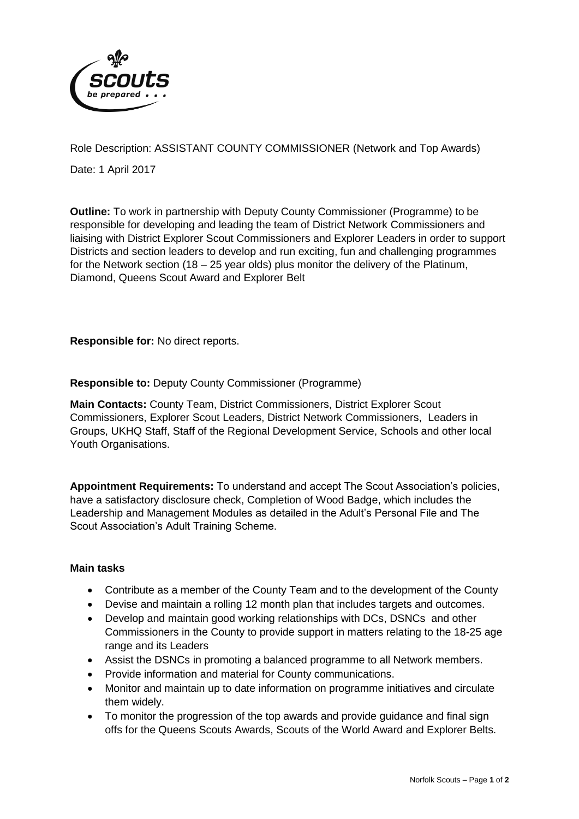

Role Description: ASSISTANT COUNTY COMMISSIONER (Network and Top Awards)

Date: 1 April 2017

**Outline:** To work in partnership with Deputy County Commissioner (Programme) to be responsible for developing and leading the team of District Network Commissioners and liaising with District Explorer Scout Commissioners and Explorer Leaders in order to support Districts and section leaders to develop and run exciting, fun and challenging programmes for the Network section (18 – 25 year olds) plus monitor the delivery of the Platinum, Diamond, Queens Scout Award and Explorer Belt

**Responsible for:** No direct reports.

**Responsible to:** Deputy County Commissioner (Programme)

**Main Contacts:** County Team, District Commissioners, District Explorer Scout Commissioners, Explorer Scout Leaders, District Network Commissioners, Leaders in Groups, UKHQ Staff, Staff of the Regional Development Service, Schools and other local Youth Organisations.

**Appointment Requirements:** To understand and accept The Scout Association's policies, have a satisfactory disclosure check, Completion of Wood Badge, which includes the Leadership and Management Modules as detailed in the Adult's Personal File and The Scout Association's Adult Training Scheme.

# **Main tasks**

- Contribute as a member of the County Team and to the development of the County
- Devise and maintain a rolling 12 month plan that includes targets and outcomes.
- Develop and maintain good working relationships with DCs, DSNCs and other Commissioners in the County to provide support in matters relating to the 18-25 age range and its Leaders
- Assist the DSNCs in promoting a balanced programme to all Network members.
- Provide information and material for County communications.
- Monitor and maintain up to date information on programme initiatives and circulate them widely.
- To monitor the progression of the top awards and provide guidance and final sign offs for the Queens Scouts Awards, Scouts of the World Award and Explorer Belts.